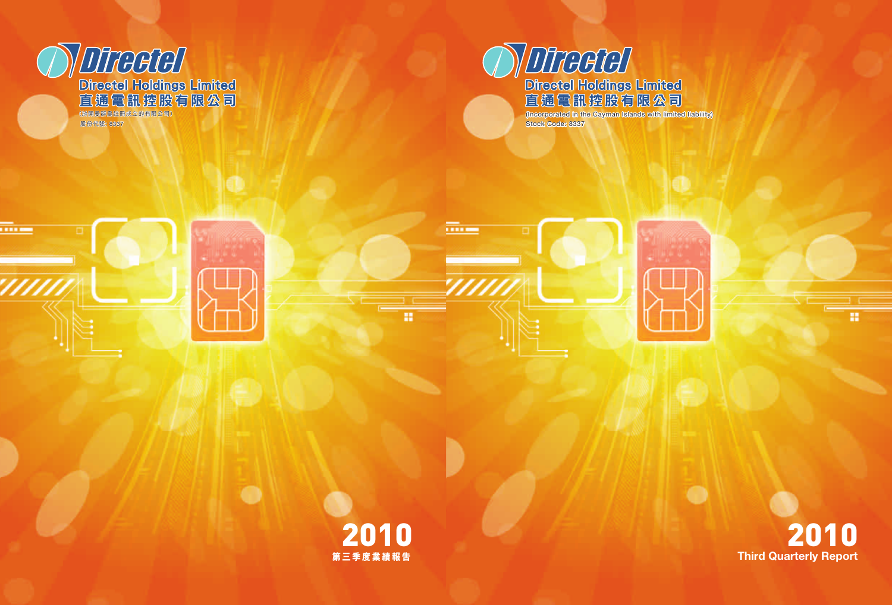

п

Stock Code: 8337



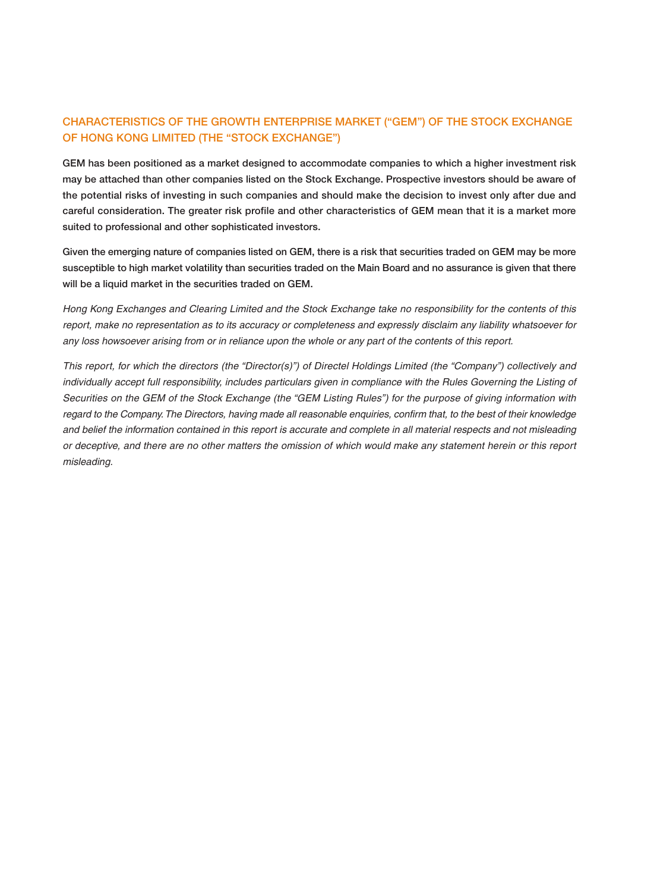## **CHARACTERISTICS OF THE GROWTH ENTERPRISE MARKET ("GEM") OF THE STOCK EXCHANGE OF HONG KONG LIMITED (THE "STOCK EXCHANGE")**

**GEM has been positioned as a market designed to accommodate companies to which a higher investment risk may be attached than other companies listed on the Stock Exchange. Prospective investors should be aware of the potential risks of investing in such companies and should make the decision to invest only after due and careful consideration. The greater risk profile and other characteristics of GEM mean that it is a market more suited to professional and other sophisticated investors.**

**Given the emerging nature of companies listed on GEM, there is a risk that securities traded on GEM may be more susceptible to high market volatility than securities traded on the Main Board and no assurance is given that there will be a liquid market in the securities traded on GEM.**

Hong Kong Exchanges and Clearing Limited and the Stock Exchange take no responsibility for the contents of this report, make no representation as to its accuracy or completeness and expressly disclaim any liability whatsoever for any loss howsoever arising from or in reliance upon the whole or any part of the contents of this report.

This report, for which the directors (the "Director(s)") of Directel Holdings Limited (the "Company") collectively and individually accept full responsibility, includes particulars given in compliance with the Rules Governing the Listing of Securities on the GEM of the Stock Exchange (the "GEM Listing Rules") for the purpose of giving information with regard to the Company. The Directors, having made all reasonable enquiries, confirm that, to the best of their knowledge and belief the information contained in this report is accurate and complete in all material respects and not misleading or deceptive, and there are no other matters the omission of which would make any statement herein or this report misleading.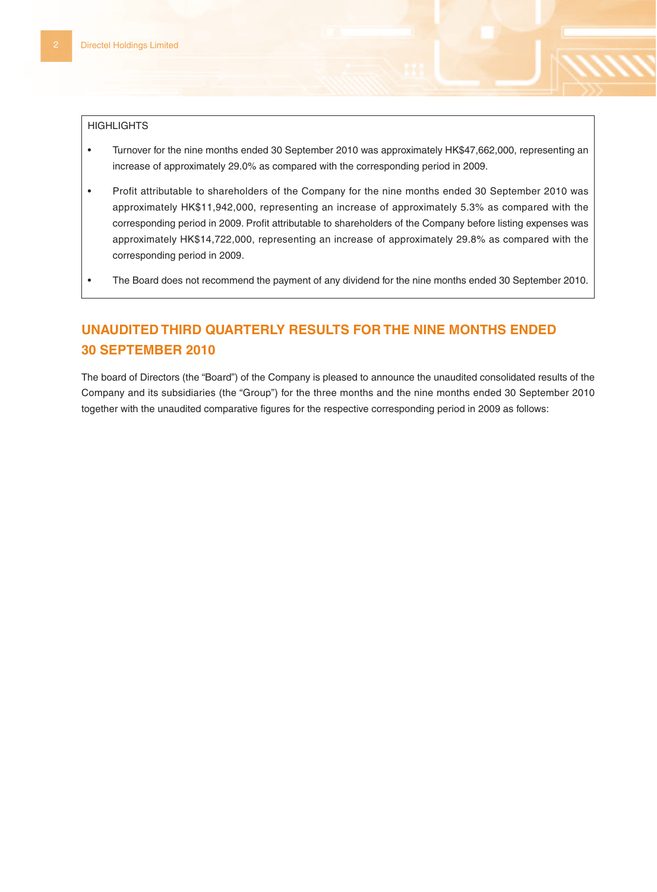#### **HIGHLIGHTS**

- Turnover for the nine months ended 30 September 2010 was approximately HK\$47,662,000, representing an increase of approximately 29.0% as compared with the corresponding period in 2009.
- Profit attributable to shareholders of the Company for the nine months ended 30 September 2010 was approximately HK\$11,942,000, representing an increase of approximately 5.3% as compared with the corresponding period in 2009. Profit attributable to shareholders of the Company before listing expenses was approximately HK\$14,722,000, representing an increase of approximately 29.8% as compared with the corresponding period in 2009.
- The Board does not recommend the payment of any dividend for the nine months ended 30 September 2010.

# **UNAUDITED THIRD QUARTERLY RESULTS FOR THE NINE MONTHS ENDED 30 SEPTEMBER 2010**

The board of Directors (the "Board") of the Company is pleased to announce the unaudited consolidated results of the Company and its subsidiaries (the "Group") for the three months and the nine months ended 30 September 2010 together with the unaudited comparative figures for the respective corresponding period in 2009 as follows: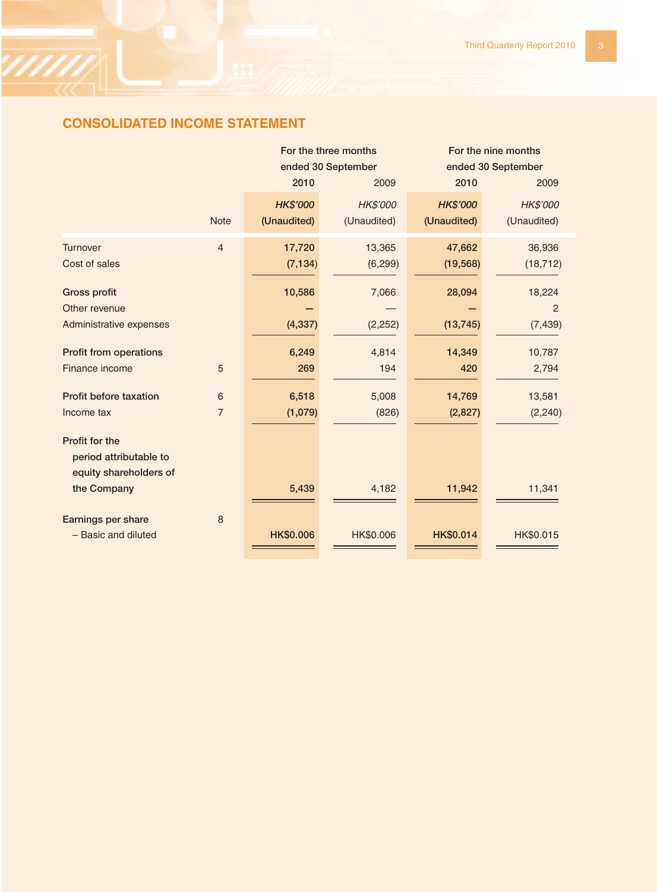# **CONSOLIDATED INCOME STATEMENT**

|                               |                | For the three months |             | For the nine months |                |
|-------------------------------|----------------|----------------------|-------------|---------------------|----------------|
|                               |                | ended 30 September   |             | ended 30 September  |                |
|                               |                | 2010                 | 2009        | 2010                | 2009           |
|                               |                | <b>HK\$'000</b>      | HK\$'000    | <b>HK\$'000</b>     | HK\$'000       |
|                               | <b>Note</b>    | (Unaudited)          | (Unaudited) | (Unaudited)         | (Unaudited)    |
| <b>Turnover</b>               | $\overline{4}$ | 17,720               | 13,365      | 47,662              | 36,936         |
| Cost of sales                 |                | (7, 134)             | (6, 299)    | (19, 568)           | (18, 712)      |
| <b>Gross profit</b>           |                | 10,586               | 7,066       | 28,094              | 18,224         |
| Other revenue                 |                |                      |             |                     | $\overline{2}$ |
| Administrative expenses       |                | (4, 337)             | (2, 252)    | (13, 745)           | (7, 439)       |
| <b>Profit from operations</b> |                | 6,249                | 4,814       | 14,349              | 10,787         |
| Finance income                | 5              | 269                  | 194         | 420                 | 2,794          |
| Profit before taxation        | 6              | 6,518                | 5,008       | 14,769              | 13,581         |
| Income tax                    | $\overline{7}$ | (1,079)              | (826)       | (2,827)             | (2, 240)       |
| Profit for the                |                |                      |             |                     |                |
| period attributable to        |                |                      |             |                     |                |
| equity shareholders of        |                |                      |             |                     |                |
| the Company                   |                | 5,439                | 4,182       | 11,942              | 11,341         |
| Earnings per share            | 8              |                      |             |                     |                |
| - Basic and diluted           |                | HK\$0.006            | HK\$0.006   | HK\$0.014           | HK\$0.015      |
|                               |                |                      |             |                     |                |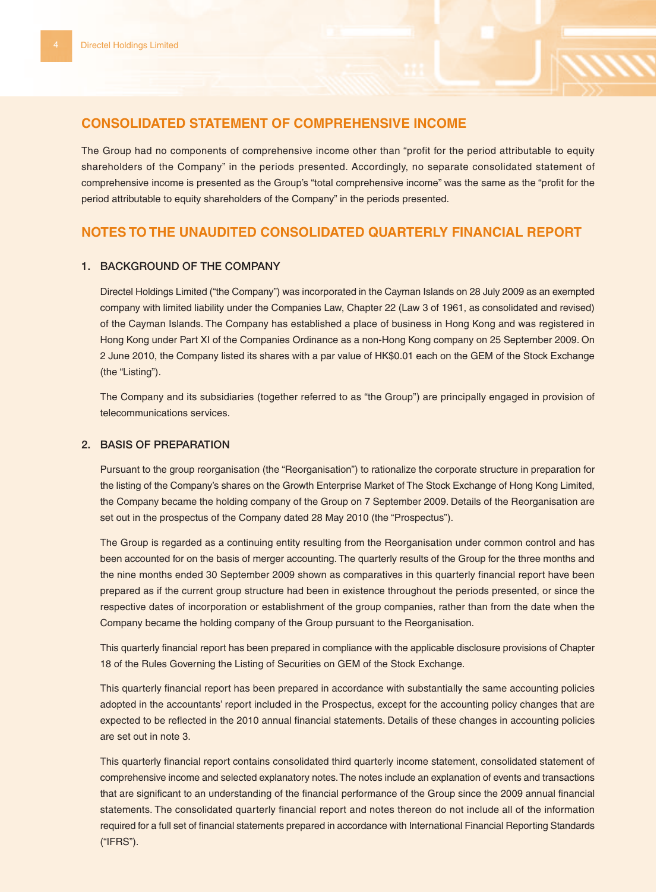## **CONSOLIDATED STATEMENT OF COMPREHENSIVE INCOME**

The Group had no components of comprehensive income other than "profit for the period attributable to equity shareholders of the Company" in the periods presented. Accordingly, no separate consolidated statement of comprehensive income is presented as the Group's "total comprehensive income" was the same as the "profit for the period attributable to equity shareholders of the Company" in the periods presented.

## **NOTES TO THE UNAUDITED CONSOLIDATED QUARTERLY FINANCIAL REPORT**

## **1. BACKGROUND OF THE COMPANY**

Directel Holdings Limited ("the Company") was incorporated in the Cayman Islands on 28 July 2009 as an exempted company with limited liability under the Companies Law, Chapter 22 (Law 3 of 1961, as consolidated and revised) of the Cayman Islands. The Company has established a place of business in Hong Kong and was registered in Hong Kong under Part XI of the Companies Ordinance as a non-Hong Kong company on 25 September 2009. On 2 June 2010, the Company listed its shares with a par value of HK\$0.01 each on the GEM of the Stock Exchange (the "Listing").

The Company and its subsidiaries (together referred to as "the Group") are principally engaged in provision of telecommunications services.

## **2. BASIS OF PREPARATION**

Pursuant to the group reorganisation (the "Reorganisation") to rationalize the corporate structure in preparation for the listing of the Company's shares on the Growth Enterprise Market of The Stock Exchange of Hong Kong Limited, the Company became the holding company of the Group on 7 September 2009. Details of the Reorganisation are set out in the prospectus of the Company dated 28 May 2010 (the "Prospectus").

The Group is regarded as a continuing entity resulting from the Reorganisation under common control and has been accounted for on the basis of merger accounting. The quarterly results of the Group for the three months and the nine months ended 30 September 2009 shown as comparatives in this quarterly financial report have been prepared as if the current group structure had been in existence throughout the periods presented, or since the respective dates of incorporation or establishment of the group companies, rather than from the date when the Company became the holding company of the Group pursuant to the Reorganisation.

This quarterly financial report has been prepared in compliance with the applicable disclosure provisions of Chapter 18 of the Rules Governing the Listing of Securities on GEM of the Stock Exchange.

This quarterly financial report has been prepared in accordance with substantially the same accounting policies adopted in the accountants' report included in the Prospectus, except for the accounting policy changes that are expected to be reflected in the 2010 annual financial statements. Details of these changes in accounting policies are set out in note 3.

This quarterly financial report contains consolidated third quarterly income statement, consolidated statement of comprehensive income and selected explanatory notes. The notes include an explanation of events and transactions that are significant to an understanding of the financial performance of the Group since the 2009 annual financial statements. The consolidated quarterly financial report and notes thereon do not include all of the information required for a full set of financial statements prepared in accordance with International Financial Reporting Standards ("IFRS").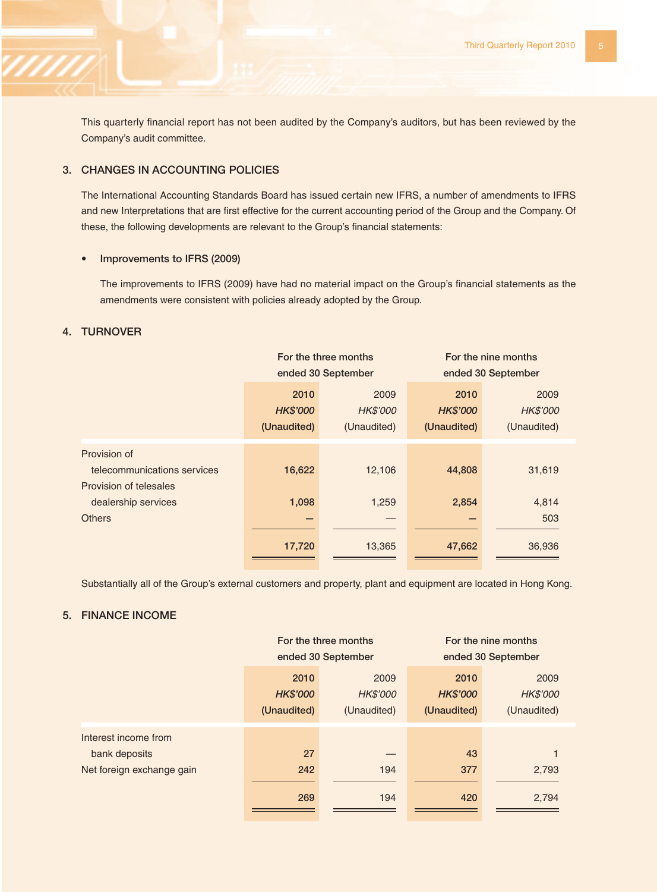This quarterly financial report has not been audited by the Company's auditors, but has been reviewed by the Company's audit committee.

## **3. CHANGES IN ACCOUNTING POLICIES**

The International Accounting Standards Board has issued certain new IFRS, a number of amendments to IFRS and new Interpretations that are first effective for the current accounting period of the Group and the Company. Of these, the following developments are relevant to the Group's financial statements:

## **• Improvements to IFRS (2009)**

The improvements to IFRS (2009) have had no material impact on the Group's financial statements as the amendments were consistent with policies already adopted by the Group.

## **4. TURNOVER**

|                                                                       | For the three months<br>ended 30 September |                                 | For the nine months<br>ended 30 September |                                 |
|-----------------------------------------------------------------------|--------------------------------------------|---------------------------------|-------------------------------------------|---------------------------------|
|                                                                       | 2010<br><b>HK\$'000</b><br>(Unaudited)     | 2009<br>HK\$'000<br>(Unaudited) | 2010<br><b>HK\$'000</b><br>(Unaudited)    | 2009<br>HK\$'000<br>(Unaudited) |
| Provision of<br>telecommunications services<br>Provision of telesales | 16,622                                     | 12,106                          | 44,808                                    | 31,619                          |
| dealership services                                                   | 1,098                                      | 1,259                           | 2,854                                     | 4,814                           |
| <b>Others</b>                                                         | 17,720                                     | 13,365                          | 47,662                                    | 503<br>36,936                   |

Substantially all of the Group's external customers and property, plant and equipment are located in Hong Kong.

## **5. FINANCE INCOME**

|                           | For the three months |             | For the nine months |             |
|---------------------------|----------------------|-------------|---------------------|-------------|
|                           | ended 30 September   |             | ended 30 September  |             |
|                           | 2010                 | 2009        | 2010                | 2009        |
|                           | <b>HK\$'000</b>      | HK\$'000    | <b>HK\$'000</b>     | HK\$'000    |
|                           | (Unaudited)          | (Unaudited) | (Unaudited)         | (Unaudited) |
| Interest income from      |                      |             |                     |             |
| bank deposits             | 27                   |             | 43                  |             |
| Net foreign exchange gain | 242                  | 194         | 377                 | 2,793       |
|                           | 269                  | 194         | 420                 | 2,794       |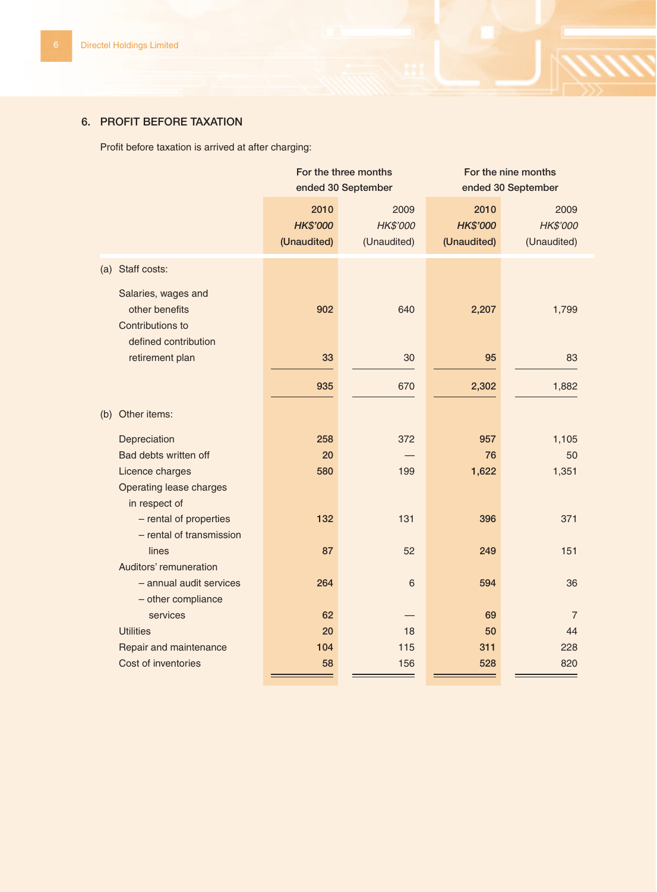## **6. PROFIT BEFORE TAXATION**

Profit before taxation is arrived at after charging:

|     |                                                                                   | For the three months<br>ended 30 September |                                 | For the nine months<br>ended 30 September |                                 |
|-----|-----------------------------------------------------------------------------------|--------------------------------------------|---------------------------------|-------------------------------------------|---------------------------------|
|     |                                                                                   | 2010<br><b>HK\$'000</b><br>(Unaudited)     | 2009<br>HK\$'000<br>(Unaudited) | 2010<br><b>HK\$'000</b><br>(Unaudited)    | 2009<br>HK\$'000<br>(Unaudited) |
| (a) | Staff costs:                                                                      |                                            |                                 |                                           |                                 |
|     | Salaries, wages and<br>other benefits<br>Contributions to<br>defined contribution | 902                                        | 640                             | 2,207                                     | 1,799                           |
|     | retirement plan                                                                   | 33                                         | 30                              | 95                                        | 83                              |
|     |                                                                                   | 935                                        | 670                             | 2,302                                     | 1,882                           |
| (b) | Other items:                                                                      |                                            |                                 |                                           |                                 |
|     | Depreciation                                                                      | 258                                        | 372                             | 957                                       | 1,105                           |
|     | Bad debts written off                                                             | 20                                         |                                 | 76                                        | 50                              |
|     | Licence charges                                                                   | 580                                        | 199                             | 1,622                                     | 1,351                           |
|     | <b>Operating lease charges</b><br>in respect of                                   |                                            |                                 |                                           |                                 |
|     | - rental of properties<br>- rental of transmission                                | 132                                        | 131                             | 396                                       | 371                             |
|     | lines<br>Auditors' remuneration                                                   | 87                                         | 52                              | 249                                       | 151                             |
|     | - annual audit services<br>- other compliance                                     | 264                                        | 6                               | 594                                       | 36                              |
|     | services                                                                          | 62                                         |                                 | 69                                        | $\overline{7}$                  |
|     | <b>Utilities</b>                                                                  | 20                                         | 18                              | 50                                        | 44                              |
|     | Repair and maintenance                                                            | 104                                        | 115                             | 311                                       | 228                             |
|     | Cost of inventories                                                               | 58                                         | 156                             | 528                                       | 820                             |
|     |                                                                                   |                                            |                                 |                                           |                                 |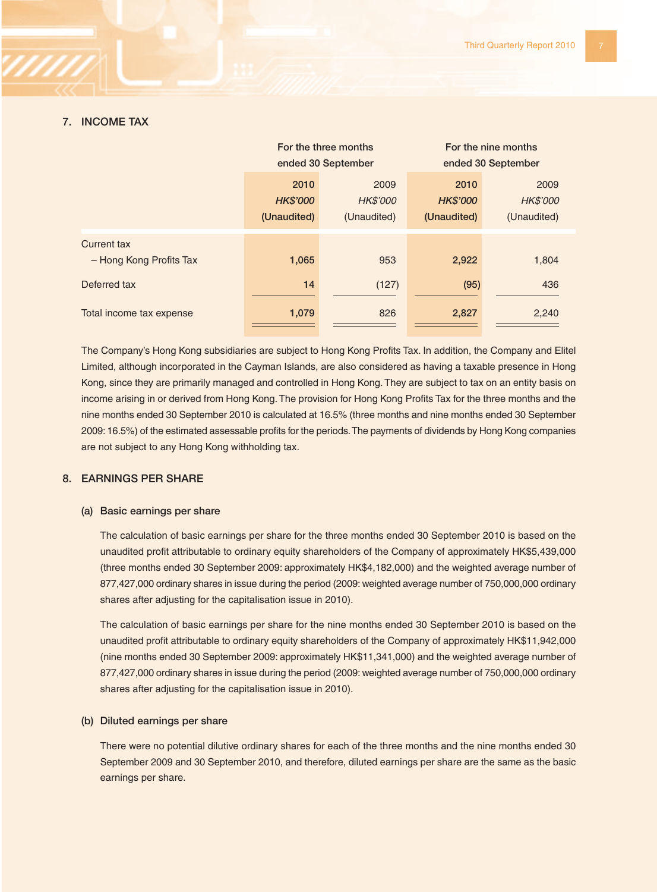### **7. INCOME TAX**

|                          | For the three months    |                  | For the nine months     |                  |
|--------------------------|-------------------------|------------------|-------------------------|------------------|
|                          | ended 30 September      |                  | ended 30 September      |                  |
|                          | 2010<br><b>HK\$'000</b> | 2009<br>HK\$'000 | 2010<br><b>HK\$'000</b> | 2009<br>HK\$'000 |
|                          | (Unaudited)             | (Unaudited)      | (Unaudited)             | (Unaudited)      |
| <b>Current tax</b>       |                         |                  |                         |                  |
| - Hong Kong Profits Tax  | 1,065                   | 953              | 2,922                   | 1,804            |
| Deferred tax             | 14                      | (127)            | (95)                    | 436              |
| Total income tax expense | 1,079                   | 826              | 2,827                   | 2,240            |

The Company's Hong Kong subsidiaries are subject to Hong Kong Profits Tax. In addition, the Company and Elitel Limited, although incorporated in the Cayman Islands, are also considered as having a taxable presence in Hong Kong, since they are primarily managed and controlled in Hong Kong. They are subject to tax on an entity basis on income arising in or derived from Hong Kong. The provision for Hong Kong Profits Tax for the three months and the nine months ended 30 September 2010 is calculated at 16.5% (three months and nine months ended 30 September 2009: 16.5%) of the estimated assessable profits for the periods. The payments of dividends by Hong Kong companies are not subject to any Hong Kong withholding tax.

## **8. EARNINGS PER SHARE**

#### **(a) Basic earnings per share**

The calculation of basic earnings per share for the three months ended 30 September 2010 is based on the unaudited profit attributable to ordinary equity shareholders of the Company of approximately HK\$5,439,000 (three months ended 30 September 2009: approximately HK\$4,182,000) and the weighted average number of 877,427,000 ordinary shares in issue during the period (2009: weighted average number of 750,000,000 ordinary shares after adjusting for the capitalisation issue in 2010).

The calculation of basic earnings per share for the nine months ended 30 September 2010 is based on the unaudited profit attributable to ordinary equity shareholders of the Company of approximately HK\$11,942,000 (nine months ended 30 September 2009: approximately HK\$11,341,000) and the weighted average number of 877,427,000 ordinary shares in issue during the period (2009: weighted average number of 750,000,000 ordinary shares after adjusting for the capitalisation issue in 2010).

#### **(b) Diluted earnings per share**

There were no potential dilutive ordinary shares for each of the three months and the nine months ended 30 September 2009 and 30 September 2010, and therefore, diluted earnings per share are the same as the basic earnings per share.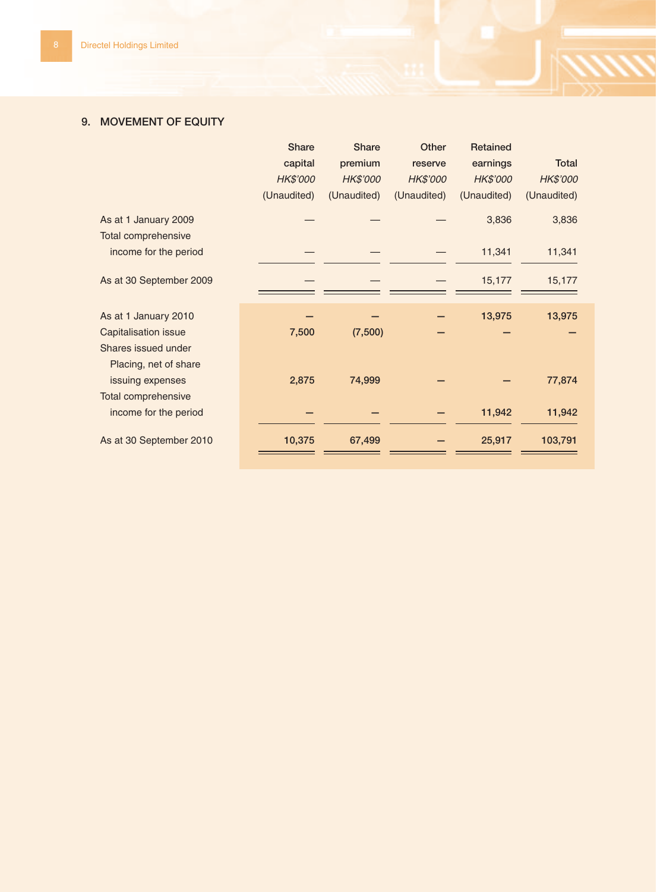## **9. MOVEMENT OF EQUITY**

|                            | Share       | Share       | Other       | Retained    |             |
|----------------------------|-------------|-------------|-------------|-------------|-------------|
|                            | capital     | premium     | reserve     | earnings    | Total       |
|                            | HK\$'000    | HK\$'000    | HK\$'000    | HK\$'000    | HK\$'000    |
|                            | (Unaudited) | (Unaudited) | (Unaudited) | (Unaudited) | (Unaudited) |
| As at 1 January 2009       |             |             |             | 3,836       | 3,836       |
| <b>Total comprehensive</b> |             |             |             |             |             |
| income for the period      |             |             |             | 11,341      | 11,341      |
| As at 30 September 2009    |             |             |             | 15,177      | 15,177      |
| As at 1 January 2010       |             |             |             | 13,975      | 13,975      |
| Capitalisation issue       | 7,500       | (7,500)     |             |             |             |
| Shares issued under        |             |             |             |             |             |
| Placing, net of share      |             |             |             |             |             |
| issuing expenses           | 2,875       | 74,999      |             |             | 77,874      |
| Total comprehensive        |             |             |             |             |             |
| income for the period      |             |             |             | 11,942      | 11,942      |
| As at 30 September 2010    | 10,375      | 67,499      |             | 25,917      | 103,791     |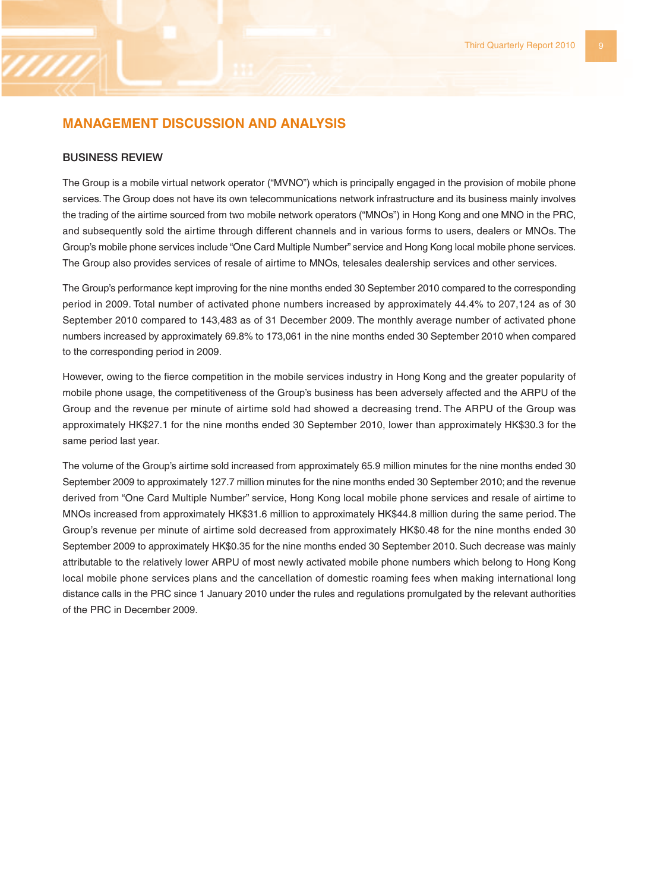## **MANAGEMENT DISCUSSION AND ANALYSIS**

#### **BUSINESS REVIEW**

The Group is a mobile virtual network operator ("MVNO") which is principally engaged in the provision of mobile phone services. The Group does not have its own telecommunications network infrastructure and its business mainly involves the trading of the airtime sourced from two mobile network operators ("MNOs") in Hong Kong and one MNO in the PRC, and subsequently sold the airtime through different channels and in various forms to users, dealers or MNOs. The Group's mobile phone services include "One Card Multiple Number" service and Hong Kong local mobile phone services. The Group also provides services of resale of airtime to MNOs, telesales dealership services and other services.

The Group's performance kept improving for the nine months ended 30 September 2010 compared to the corresponding period in 2009. Total number of activated phone numbers increased by approximately 44.4% to 207,124 as of 30 September 2010 compared to 143,483 as of 31 December 2009. The monthly average number of activated phone numbers increased by approximately 69.8% to 173,061 in the nine months ended 30 September 2010 when compared to the corresponding period in 2009.

However, owing to the fierce competition in the mobile services industry in Hong Kong and the greater popularity of mobile phone usage, the competitiveness of the Group's business has been adversely affected and the ARPU of the Group and the revenue per minute of airtime sold had showed a decreasing trend. The ARPU of the Group was approximately HK\$27.1 for the nine months ended 30 September 2010, lower than approximately HK\$30.3 for the same period last year.

The volume of the Group's airtime sold increased from approximately 65.9 million minutes for the nine months ended 30 September 2009 to approximately 127.7 million minutes for the nine months ended 30 September 2010; and the revenue derived from "One Card Multiple Number" service, Hong Kong local mobile phone services and resale of airtime to MNOs increased from approximately HK\$31.6 million to approximately HK\$44.8 million during the same period. The Group's revenue per minute of airtime sold decreased from approximately HK\$0.48 for the nine months ended 30 September 2009 to approximately HK\$0.35 for the nine months ended 30 September 2010. Such decrease was mainly attributable to the relatively lower ARPU of most newly activated mobile phone numbers which belong to Hong Kong local mobile phone services plans and the cancellation of domestic roaming fees when making international long distance calls in the PRC since 1 January 2010 under the rules and regulations promulgated by the relevant authorities of the PRC in December 2009.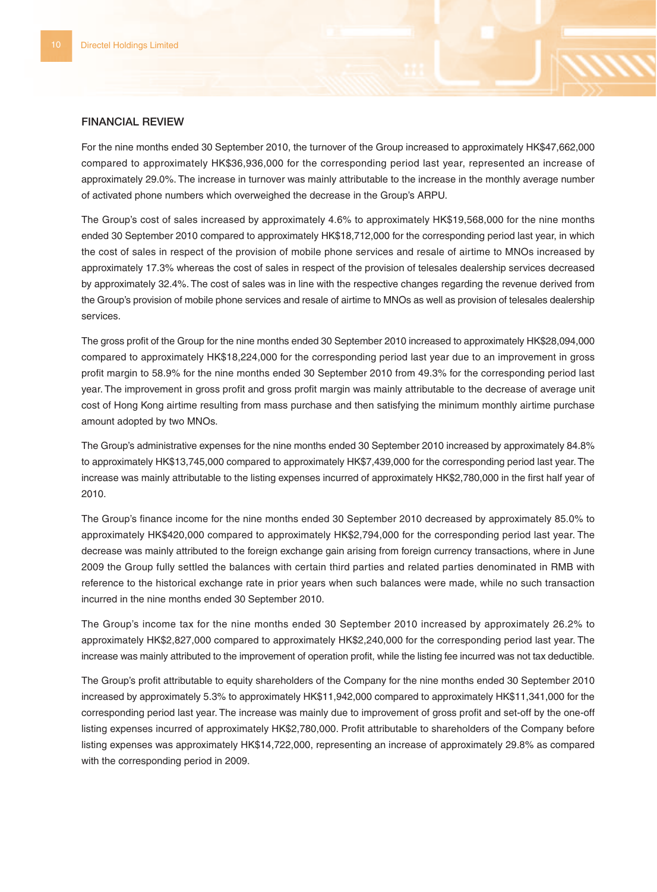#### **FINANCIAL REVIEW**

For the nine months ended 30 September 2010, the turnover of the Group increased to approximately HK\$47,662,000 compared to approximately HK\$36,936,000 for the corresponding period last year, represented an increase of approximately 29.0%. The increase in turnover was mainly attributable to the increase in the monthly average number of activated phone numbers which overweighed the decrease in the Group's ARPU.

The Group's cost of sales increased by approximately 4.6% to approximately HK\$19,568,000 for the nine months ended 30 September 2010 compared to approximately HK\$18,712,000 for the corresponding period last year, in which the cost of sales in respect of the provision of mobile phone services and resale of airtime to MNOs increased by approximately 17.3% whereas the cost of sales in respect of the provision of telesales dealership services decreased by approximately 32.4%. The cost of sales was in line with the respective changes regarding the revenue derived from the Group's provision of mobile phone services and resale of airtime to MNOs as well as provision of telesales dealership services.

The gross profit of the Group for the nine months ended 30 September 2010 increased to approximately HK\$28,094,000 compared to approximately HK\$18,224,000 for the corresponding period last year due to an improvement in gross profit margin to 58.9% for the nine months ended 30 September 2010 from 49.3% for the corresponding period last year. The improvement in gross profit and gross profit margin was mainly attributable to the decrease of average unit cost of Hong Kong airtime resulting from mass purchase and then satisfying the minimum monthly airtime purchase amount adopted by two MNOs.

The Group's administrative expenses for the nine months ended 30 September 2010 increased by approximately 84.8% to approximately HK\$13,745,000 compared to approximately HK\$7,439,000 for the corresponding period last year. The increase was mainly attributable to the listing expenses incurred of approximately HK\$2,780,000 in the first half year of 2010.

The Group's finance income for the nine months ended 30 September 2010 decreased by approximately 85.0% to approximately HK\$420,000 compared to approximately HK\$2,794,000 for the corresponding period last year. The decrease was mainly attributed to the foreign exchange gain arising from foreign currency transactions, where in June 2009 the Group fully settled the balances with certain third parties and related parties denominated in RMB with reference to the historical exchange rate in prior years when such balances were made, while no such transaction incurred in the nine months ended 30 September 2010.

The Group's income tax for the nine months ended 30 September 2010 increased by approximately 26.2% to approximately HK\$2,827,000 compared to approximately HK\$2,240,000 for the corresponding period last year. The increase was mainly attributed to the improvement of operation profit, while the listing fee incurred was not tax deductible.

The Group's profit attributable to equity shareholders of the Company for the nine months ended 30 September 2010 increased by approximately 5.3% to approximately HK\$11,942,000 compared to approximately HK\$11,341,000 for the corresponding period last year. The increase was mainly due to improvement of gross profit and set-off by the one-off listing expenses incurred of approximately HK\$2,780,000. Profit attributable to shareholders of the Company before listing expenses was approximately HK\$14,722,000, representing an increase of approximately 29.8% as compared with the corresponding period in 2009.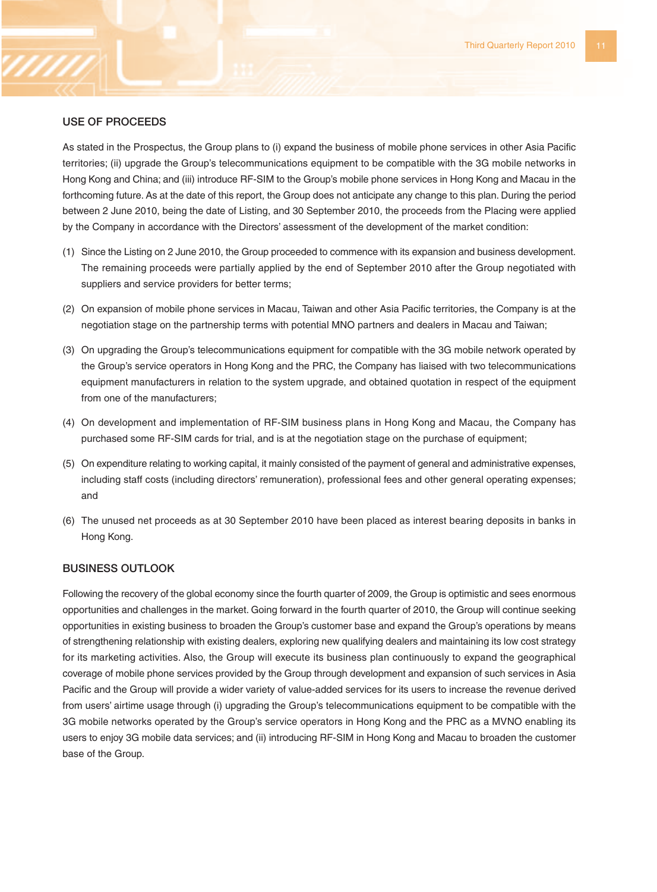#### **USE OF PROCEEDS**

As stated in the Prospectus, the Group plans to (i) expand the business of mobile phone services in other Asia Pacific territories; (ii) upgrade the Group's telecommunications equipment to be compatible with the 3G mobile networks in Hong Kong and China; and (iii) introduce RF-SIM to the Group's mobile phone services in Hong Kong and Macau in the forthcoming future. As at the date of this report, the Group does not anticipate any change to this plan. During the period between 2 June 2010, being the date of Listing, and 30 September 2010, the proceeds from the Placing were applied by the Company in accordance with the Directors' assessment of the development of the market condition:

- (1) Since the Listing on 2 June 2010, the Group proceeded to commence with its expansion and business development. The remaining proceeds were partially applied by the end of September 2010 after the Group negotiated with suppliers and service providers for better terms;
- (2) On expansion of mobile phone services in Macau, Taiwan and other Asia Pacific territories, the Company is at the negotiation stage on the partnership terms with potential MNO partners and dealers in Macau and Taiwan;
- (3) On upgrading the Group's telecommunications equipment for compatible with the 3G mobile network operated by the Group's service operators in Hong Kong and the PRC, the Company has liaised with two telecommunications equipment manufacturers in relation to the system upgrade, and obtained quotation in respect of the equipment from one of the manufacturers;
- (4) On development and implementation of RF-SIM business plans in Hong Kong and Macau, the Company has purchased some RF-SIM cards for trial, and is at the negotiation stage on the purchase of equipment;
- (5) On expenditure relating to working capital, it mainly consisted of the payment of general and administrative expenses, including staff costs (including directors' remuneration), professional fees and other general operating expenses; and
- (6) The unused net proceeds as at 30 September 2010 have been placed as interest bearing deposits in banks in Hong Kong.

## **BUSINESS OUTLOOK**

Following the recovery of the global economy since the fourth quarter of 2009, the Group is optimistic and sees enormous opportunities and challenges in the market. Going forward in the fourth quarter of 2010, the Group will continue seeking opportunities in existing business to broaden the Group's customer base and expand the Group's operations by means of strengthening relationship with existing dealers, exploring new qualifying dealers and maintaining its low cost strategy for its marketing activities. Also, the Group will execute its business plan continuously to expand the geographical coverage of mobile phone services provided by the Group through development and expansion of such services in Asia Pacific and the Group will provide a wider variety of value-added services for its users to increase the revenue derived from users' airtime usage through (i) upgrading the Group's telecommunications equipment to be compatible with the 3G mobile networks operated by the Group's service operators in Hong Kong and the PRC as a MVNO enabling its users to enjoy 3G mobile data services; and (ii) introducing RF-SIM in Hong Kong and Macau to broaden the customer base of the Group.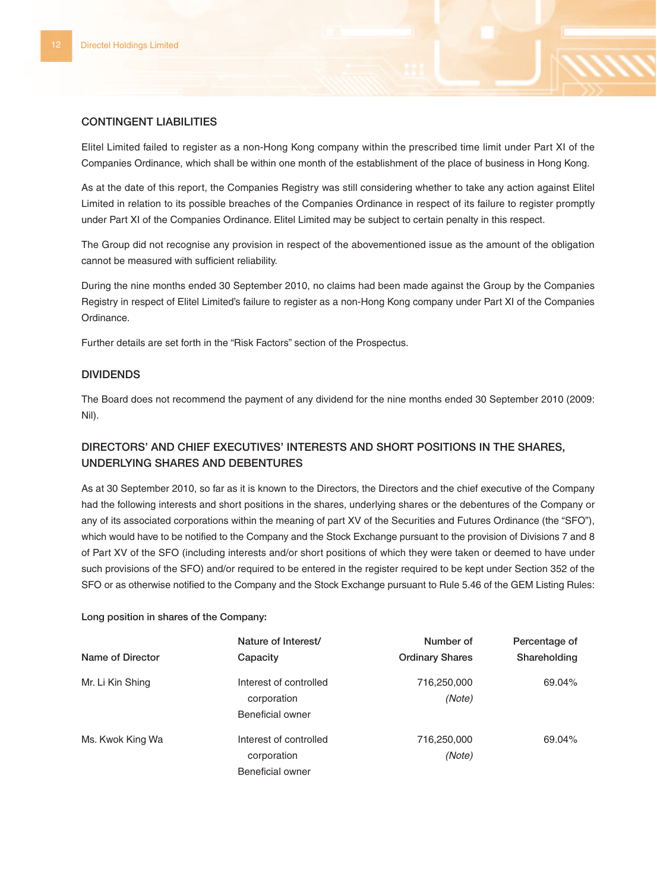## **CONTINGENT LIABILITIES**

Elitel Limited failed to register as a non-Hong Kong company within the prescribed time limit under Part XI of the Companies Ordinance, which shall be within one month of the establishment of the place of business in Hong Kong.

As at the date of this report, the Companies Registry was still considering whether to take any action against Elitel Limited in relation to its possible breaches of the Companies Ordinance in respect of its failure to register promptly under Part XI of the Companies Ordinance. Elitel Limited may be subject to certain penalty in this respect.

The Group did not recognise any provision in respect of the abovementioned issue as the amount of the obligation cannot be measured with sufficient reliability.

During the nine months ended 30 September 2010, no claims had been made against the Group by the Companies Registry in respect of Elitel Limited's failure to register as a non-Hong Kong company under Part XI of the Companies Ordinance.

Further details are set forth in the "Risk Factors" section of the Prospectus.

## **DIVIDENDS**

The Board does not recommend the payment of any dividend for the nine months ended 30 September 2010 (2009: Nil).

## **DIRECTORS' AND CHIEF EXECUTIVES' INTERESTS AND SHORT POSITIONS IN THE SHARES, UNDERLYING SHARES AND DEBENTURES**

As at 30 September 2010, so far as it is known to the Directors, the Directors and the chief executive of the Company had the following interests and short positions in the shares, underlying shares or the debentures of the Company or any of its associated corporations within the meaning of part XV of the Securities and Futures Ordinance (the "SFO"), which would have to be notified to the Company and the Stock Exchange pursuant to the provision of Divisions 7 and 8 of Part XV of the SFO (including interests and/or short positions of which they were taken or deemed to have under such provisions of the SFO) and/or required to be entered in the register required to be kept under Section 352 of the SFO or as otherwise notified to the Company and the Stock Exchange pursuant to Rule 5.46 of the GEM Listing Rules:

**Long position in shares of the Company:**

|                  | Nature of Interest/                                       | Number of              | Percentage of |
|------------------|-----------------------------------------------------------|------------------------|---------------|
| Name of Director | Capacity                                                  | <b>Ordinary Shares</b> | Shareholding  |
| Mr. Li Kin Shing | Interest of controlled<br>corporation<br>Beneficial owner | 716,250,000<br>(Note)  | 69.04%        |
| Ms. Kwok King Wa | Interest of controlled<br>corporation<br>Beneficial owner | 716,250,000<br>(Note)  | 69.04%        |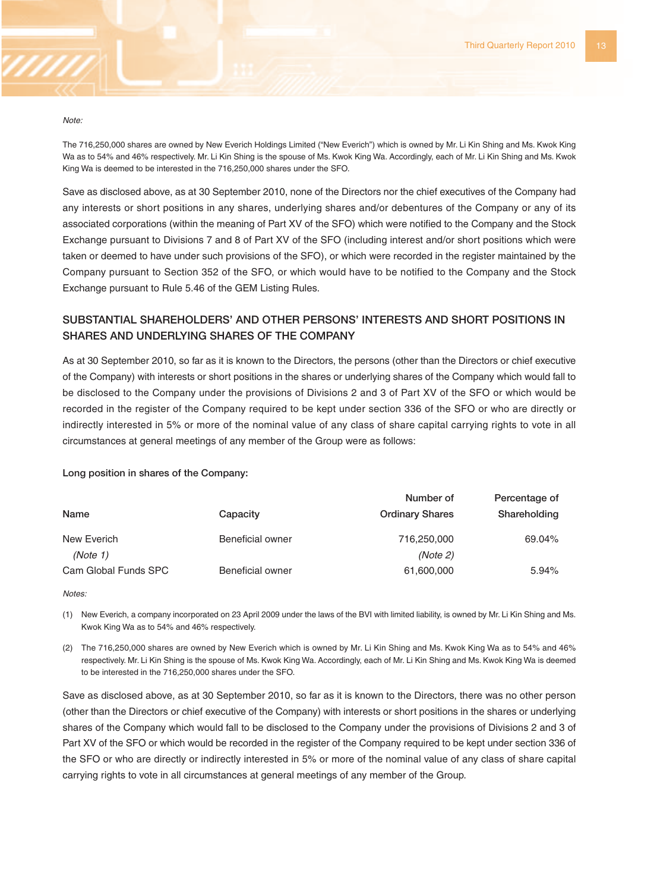

The 716,250,000 shares are owned by New Everich Holdings Limited ("New Everich") which is owned by Mr. Li Kin Shing and Ms. Kwok King Wa as to 54% and 46% respectively. Mr. Li Kin Shing is the spouse of Ms. Kwok King Wa. Accordingly, each of Mr. Li Kin Shing and Ms. Kwok King Wa is deemed to be interested in the 716,250,000 shares under the SFO.

Save as disclosed above, as at 30 September 2010, none of the Directors nor the chief executives of the Company had any interests or short positions in any shares, underlying shares and/or debentures of the Company or any of its associated corporations (within the meaning of Part XV of the SFO) which were notified to the Company and the Stock Exchange pursuant to Divisions 7 and 8 of Part XV of the SFO (including interest and/or short positions which were taken or deemed to have under such provisions of the SFO), or which were recorded in the register maintained by the Company pursuant to Section 352 of the SFO, or which would have to be notified to the Company and the Stock Exchange pursuant to Rule 5.46 of the GEM Listing Rules.

## **SUBSTANTIAL SHAREHOLDERS' AND OTHER PERSONS' INTERESTS AND SHORT POSITIONS IN SHARES AND UNDERLYING SHARES OF THE COMPANY**

As at 30 September 2010, so far as it is known to the Directors, the persons (other than the Directors or chief executive of the Company) with interests or short positions in the shares or underlying shares of the Company which would fall to be disclosed to the Company under the provisions of Divisions 2 and 3 of Part XV of the SFO or which would be recorded in the register of the Company required to be kept under section 336 of the SFO or who are directly or indirectly interested in 5% or more of the nominal value of any class of share capital carrying rights to vote in all circumstances at general meetings of any member of the Group were as follows:

#### **Long position in shares of the Company:**

|                      |                  | Number of              | Percentage of |
|----------------------|------------------|------------------------|---------------|
| Name                 | Capacity         | <b>Ordinary Shares</b> | Shareholding  |
| New Everich          | Beneficial owner | 716,250,000            | 69.04%        |
| (Note 1)             |                  | (Note 2)               |               |
| Cam Global Funds SPC | Beneficial owner | 61,600,000             | 5.94%         |

Notes:

(1) New Everich, a company incorporated on 23 April 2009 under the laws of the BVI with limited liability, is owned by Mr. Li Kin Shing and Ms. Kwok King Wa as to 54% and 46% respectively.

(2) The 716,250,000 shares are owned by New Everich which is owned by Mr. Li Kin Shing and Ms. Kwok King Wa as to 54% and 46% respectively. Mr. Li Kin Shing is the spouse of Ms. Kwok King Wa. Accordingly, each of Mr. Li Kin Shing and Ms. Kwok King Wa is deemed to be interested in the 716,250,000 shares under the SFO.

Save as disclosed above, as at 30 September 2010, so far as it is known to the Directors, there was no other person (other than the Directors or chief executive of the Company) with interests or short positions in the shares or underlying shares of the Company which would fall to be disclosed to the Company under the provisions of Divisions 2 and 3 of Part XV of the SFO or which would be recorded in the register of the Company required to be kept under section 336 of the SFO or who are directly or indirectly interested in 5% or more of the nominal value of any class of share capital carrying rights to vote in all circumstances at general meetings of any member of the Group.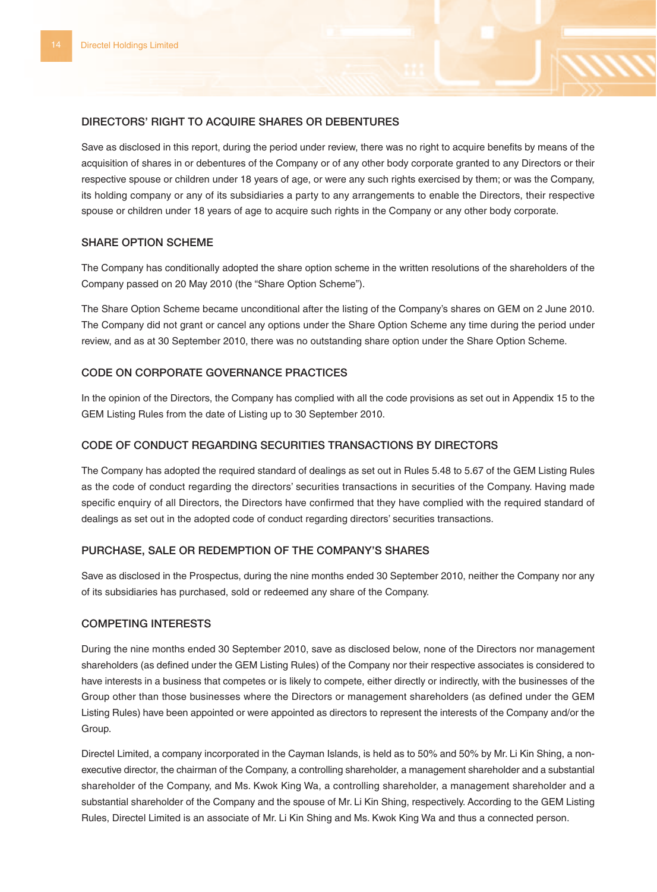### **DIRECTORS' RIGHT TO ACQUIRE SHARES OR DEBENTURES**

Save as disclosed in this report, during the period under review, there was no right to acquire benefits by means of the acquisition of shares in or debentures of the Company or of any other body corporate granted to any Directors or their respective spouse or children under 18 years of age, or were any such rights exercised by them; or was the Company, its holding company or any of its subsidiaries a party to any arrangements to enable the Directors, their respective spouse or children under 18 years of age to acquire such rights in the Company or any other body corporate.

### **SHARE OPTION SCHEME**

The Company has conditionally adopted the share option scheme in the written resolutions of the shareholders of the Company passed on 20 May 2010 (the "Share Option Scheme").

The Share Option Scheme became unconditional after the listing of the Company's shares on GEM on 2 June 2010. The Company did not grant or cancel any options under the Share Option Scheme any time during the period under review, and as at 30 September 2010, there was no outstanding share option under the Share Option Scheme.

## **CODE ON CORPORATE GOVERNANCE PRACTICES**

In the opinion of the Directors, the Company has complied with all the code provisions as set out in Appendix 15 to the GEM Listing Rules from the date of Listing up to 30 September 2010.

### **CODE OF CONDUCT REGARDING SECURITIES TRANSACTIONS BY DIRECTORS**

The Company has adopted the required standard of dealings as set out in Rules 5.48 to 5.67 of the GEM Listing Rules as the code of conduct regarding the directors' securities transactions in securities of the Company. Having made specific enquiry of all Directors, the Directors have confirmed that they have complied with the required standard of dealings as set out in the adopted code of conduct regarding directors' securities transactions.

#### **PURCHASE, SALE OR REDEMPTION OF THE COMPANY'S SHARES**

Save as disclosed in the Prospectus, during the nine months ended 30 September 2010, neither the Company nor any of its subsidiaries has purchased, sold or redeemed any share of the Company.

### **COMPETING INTERESTS**

During the nine months ended 30 September 2010, save as disclosed below, none of the Directors nor management shareholders (as defined under the GEM Listing Rules) of the Company nor their respective associates is considered to have interests in a business that competes or is likely to compete, either directly or indirectly, with the businesses of the Group other than those businesses where the Directors or management shareholders (as defined under the GEM Listing Rules) have been appointed or were appointed as directors to represent the interests of the Company and/or the Group.

Directel Limited, a company incorporated in the Cayman Islands, is held as to 50% and 50% by Mr. Li Kin Shing, a nonexecutive director, the chairman of the Company, a controlling shareholder, a management shareholder and a substantial shareholder of the Company, and Ms. Kwok King Wa, a controlling shareholder, a management shareholder and a substantial shareholder of the Company and the spouse of Mr. Li Kin Shing, respectively. According to the GEM Listing Rules, Directel Limited is an associate of Mr. Li Kin Shing and Ms. Kwok King Wa and thus a connected person.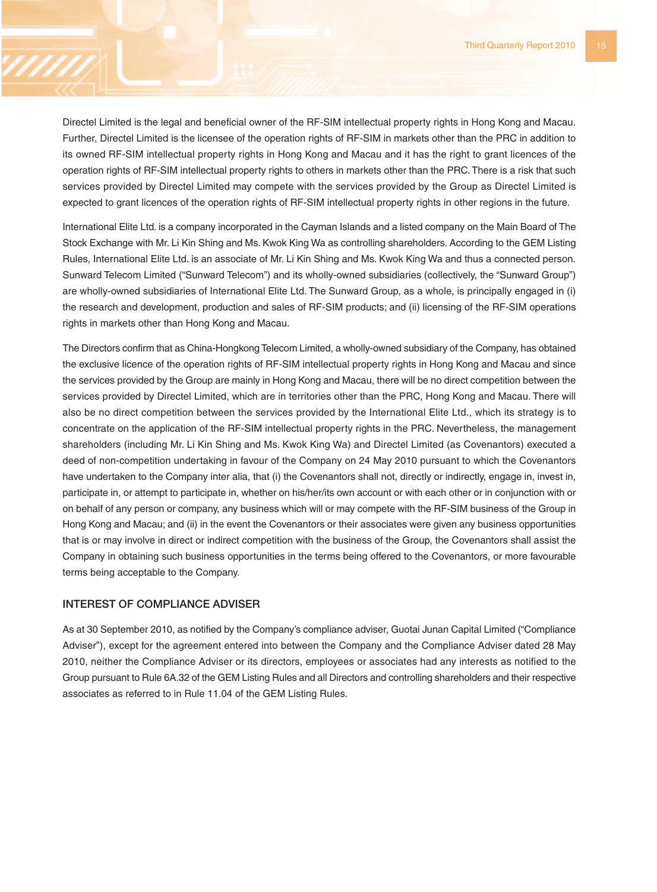Directel Limited is the legal and beneficial owner of the RF-SIM intellectual property rights in Hong Kong and Macau. Further, Directel Limited is the licensee of the operation rights of RF-SIM in markets other than the PRC in addition to its owned RF-SIM intellectual property rights in Hong Kong and Macau and it has the right to grant licences of the operation rights of RF-SIM intellectual property rights to others in markets other than the PRC. There is a risk that such services provided by Directel Limited may compete with the services provided by the Group as Directel Limited is expected to grant licences of the operation rights of RF-SIM intellectual property rights in other regions in the future.

International Elite Ltd. is a company incorporated in the Cayman Islands and a listed company on the Main Board of The Stock Exchange with Mr. Li Kin Shing and Ms. Kwok King Wa as controlling shareholders. According to the GEM Listing Rules, International Elite Ltd. is an associate of Mr. Li Kin Shing and Ms. Kwok King Wa and thus a connected person. Sunward Telecom Limited ("Sunward Telecom") and its wholly-owned subsidiaries (collectively, the "Sunward Group") are wholly-owned subsidiaries of International Elite Ltd. The Sunward Group, as a whole, is principally engaged in (i) the research and development, production and sales of RF-SIM products; and (ii) licensing of the RF-SIM operations rights in markets other than Hong Kong and Macau.

The Directors confirm that as China-Hongkong Telecom Limited, a wholly-owned subsidiary of the Company, has obtained the exclusive licence of the operation rights of RF-SIM intellectual property rights in Hong Kong and Macau and since the services provided by the Group are mainly in Hong Kong and Macau, there will be no direct competition between the services provided by Directel Limited, which are in territories other than the PRC, Hong Kong and Macau. There will also be no direct competition between the services provided by the International Elite Ltd., which its strategy is to concentrate on the application of the RF-SIM intellectual property rights in the PRC. Nevertheless, the management shareholders (including Mr. Li Kin Shing and Ms. Kwok King Wa) and Directel Limited (as Covenantors) executed a deed of non-competition undertaking in favour of the Company on 24 May 2010 pursuant to which the Covenantors have undertaken to the Company inter alia, that (i) the Covenantors shall not, directly or indirectly, engage in, invest in, participate in, or attempt to participate in, whether on his/her/its own account or with each other or in conjunction with or on behalf of any person or company, any business which will or may compete with the RF-SIM business of the Group in Hong Kong and Macau; and (ii) in the event the Covenantors or their associates were given any business opportunities that is or may involve in direct or indirect competition with the business of the Group, the Covenantors shall assist the Company in obtaining such business opportunities in the terms being offered to the Covenantors, or more favourable terms being acceptable to the Company.

### **INTEREST OF COMPLIANCE ADVISER**

As at 30 September 2010, as notified by the Company's compliance adviser, Guotai Junan Capital Limited ("Compliance Adviser"), except for the agreement entered into between the Company and the Compliance Adviser dated 28 May 2010, neither the Compliance Adviser or its directors, employees or associates had any interests as notified to the Group pursuant to Rule 6A.32 of the GEM Listing Rules and all Directors and controlling shareholders and their respective associates as referred to in Rule 11.04 of the GEM Listing Rules.